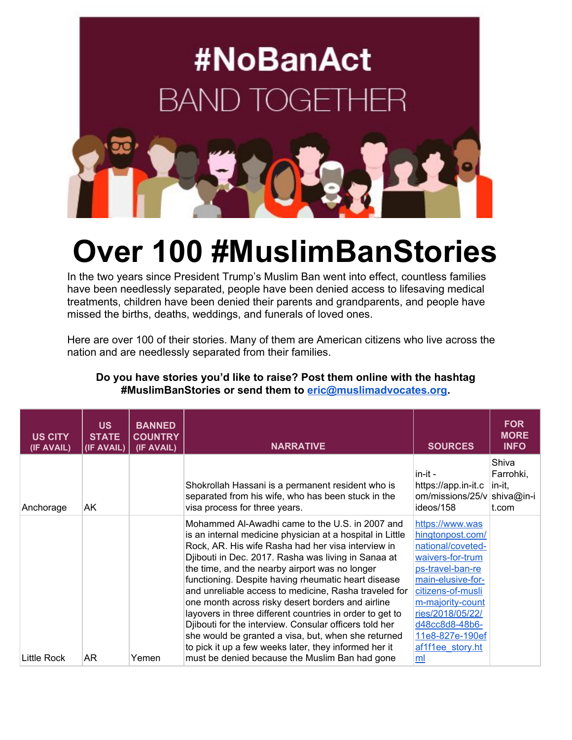

## **Over 100 #MuslimBanStories**

In the two years since President Trump's Muslim Ban went into effect, countless families have been needlessly separated, people have been denied access to lifesaving medical treatments, children have been denied their parents and grandparents, and people have missed the births, deaths, weddings, and funerals of loved ones.

Here are over 100 of their stories. Many of them are American citizens who live across the nation and are needlessly separated from their families.

| <b>US</b><br><b>STATE</b><br>(IF AVAIL) | <b>BANNED</b><br><b>COUNTRY</b><br>(IF AVAIL) | <b>NARRATIVE</b>                                                                                                                                                                                                                                                                                                                                                                                                                                                                                                                                                                                                                                                                       | <b>SOURCES</b>                                                                                                                                                                                                                              | <b>FOR</b><br><b>MORE</b><br><b>INFO</b>            |
|-----------------------------------------|-----------------------------------------------|----------------------------------------------------------------------------------------------------------------------------------------------------------------------------------------------------------------------------------------------------------------------------------------------------------------------------------------------------------------------------------------------------------------------------------------------------------------------------------------------------------------------------------------------------------------------------------------------------------------------------------------------------------------------------------------|---------------------------------------------------------------------------------------------------------------------------------------------------------------------------------------------------------------------------------------------|-----------------------------------------------------|
| AK                                      |                                               | Shokrollah Hassani is a permanent resident who is<br>separated from his wife, who has been stuck in the<br>visa process for three years.                                                                                                                                                                                                                                                                                                                                                                                                                                                                                                                                               | in-it -<br>https://app.in-it.c<br>ideos/158                                                                                                                                                                                                 | Shiva<br>Farrohki,<br>in-it,<br>shiva@in-i<br>t.com |
|                                         |                                               | Mohammed Al-Awadhi came to the U.S. in 2007 and<br>is an internal medicine physician at a hospital in Little<br>Rock, AR. His wife Rasha had her visa interview in<br>Djibouti in Dec. 2017. Rasha was living in Sanaa at<br>the time, and the nearby airport was no longer<br>functioning. Despite having rheumatic heart disease<br>and unreliable access to medicine, Rasha traveled for<br>one month across risky desert borders and airline<br>layovers in three different countries in order to get to<br>Djibouti for the interview. Consular officers told her<br>she would be granted a visa, but, when she returned<br>to pick it up a few weeks later, they informed her it | https://www.was<br>hingtonpost.com/<br>national/coveted-<br>waivers-for-trum<br>ps-travel-ban-re<br>main-elusive-for-<br>citizens-of-musli<br>m-majority-count<br>ries/2018/05/22/<br>d48cc8d8-48b6-<br>11e8-827e-190ef<br>af1f1ee_story.ht |                                                     |
|                                         | AR                                            | Yemen                                                                                                                                                                                                                                                                                                                                                                                                                                                                                                                                                                                                                                                                                  | must be denied because the Muslim Ban had gone                                                                                                                                                                                              | om/missions/25/v<br>ml                              |

## **Do you have stories you'd like to raise? Post them online with the hashtag #MuslimBanStories or send them to [eric@muslimadvocates.org.](mailto:eric@muslimadvocates.org)**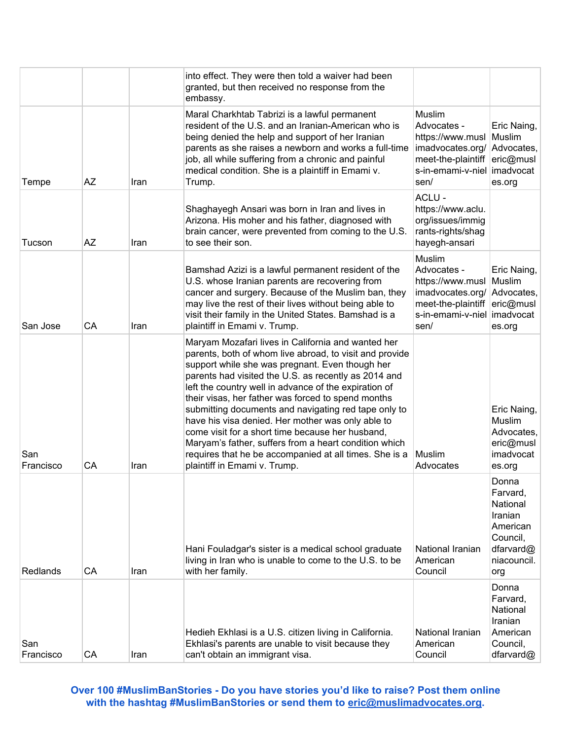|                  |    |      | into effect. They were then told a waiver had been<br>granted, but then received no response from the<br>embassy.                                                                                                                                                                                                                                                                                                                                                                                                                                                                                                                                           |                                                                                                                  |                                                                                                     |
|------------------|----|------|-------------------------------------------------------------------------------------------------------------------------------------------------------------------------------------------------------------------------------------------------------------------------------------------------------------------------------------------------------------------------------------------------------------------------------------------------------------------------------------------------------------------------------------------------------------------------------------------------------------------------------------------------------------|------------------------------------------------------------------------------------------------------------------|-----------------------------------------------------------------------------------------------------|
| Tempe            | AΖ | Iran | Maral Charkhtab Tabrizi is a lawful permanent<br>resident of the U.S. and an Iranian-American who is<br>being denied the help and support of her Iranian<br>parents as she raises a newborn and works a full-time<br>job, all while suffering from a chronic and painful<br>medical condition. She is a plaintiff in Emami v.<br>Trump.                                                                                                                                                                                                                                                                                                                     | Muslim<br>Advocates -<br>https://www.musl<br>imadvocates.org/<br>meet-the-plaintiff<br>s-in-emami-v-niel<br>sen/ | Eric Naing,<br>Muslim<br>Advocates,<br>eric@musl<br>imadvocat<br>es.org                             |
| Tucson           | AZ | Iran | Shaghayegh Ansari was born in Iran and lives in<br>Arizona. His moher and his father, diagnosed with<br>brain cancer, were prevented from coming to the U.S.<br>to see their son.                                                                                                                                                                                                                                                                                                                                                                                                                                                                           | ACLU -<br>https://www.aclu.<br>org/issues/immig<br>rants-rights/shag<br>hayegh-ansari                            |                                                                                                     |
| San Jose         | CA | Iran | Bamshad Azizi is a lawful permanent resident of the<br>U.S. whose Iranian parents are recovering from<br>cancer and surgery. Because of the Muslim ban, they<br>may live the rest of their lives without being able to<br>visit their family in the United States. Bamshad is a<br>plaintiff in Emami v. Trump.                                                                                                                                                                                                                                                                                                                                             | Muslim<br>Advocates -<br>https://www.musl<br>imadvocates.org/<br>meet-the-plaintiff<br>s-in-emami-v-niel<br>sen/ | Eric Naing,<br>Muslim<br>Advocates,<br>eric@musl<br>imadvocat<br>es.org                             |
| San<br>Francisco | CA | Iran | Maryam Mozafari lives in California and wanted her<br>parents, both of whom live abroad, to visit and provide<br>support while she was pregnant. Even though her<br>parents had visited the U.S. as recently as 2014 and<br>left the country well in advance of the expiration of<br>their visas, her father was forced to spend months<br>submitting documents and navigating red tape only to<br>have his visa denied. Her mother was only able to<br>come visit for a short time because her husband,<br>Maryam's father, suffers from a heart condition which<br>requires that he be accompanied at all times. She is a<br>plaintiff in Emami v. Trump. | Muslim<br>Advocates                                                                                              | Eric Naing,<br>Muslim<br>Advocates,<br>eric@musl<br>imadvocat<br>es.org                             |
| Redlands         | CA | Iran | Hani Fouladgar's sister is a medical school graduate<br>living in Iran who is unable to come to the U.S. to be<br>with her family.                                                                                                                                                                                                                                                                                                                                                                                                                                                                                                                          | National Iranian<br>American<br>Council                                                                          | Donna<br>Farvard,<br>National<br>Iranian<br>American<br>Council,<br>dfarvard@<br>niacouncil.<br>org |
| San<br>Francisco | CA | Iran | Hedieh Ekhlasi is a U.S. citizen living in California.<br>Ekhlasi's parents are unable to visit because they<br>can't obtain an immigrant visa.                                                                                                                                                                                                                                                                                                                                                                                                                                                                                                             | National Iranian<br>American<br>Council                                                                          | Donna<br>Farvard,<br>National<br>Iranian<br>American<br>Council,<br>dfarvard@                       |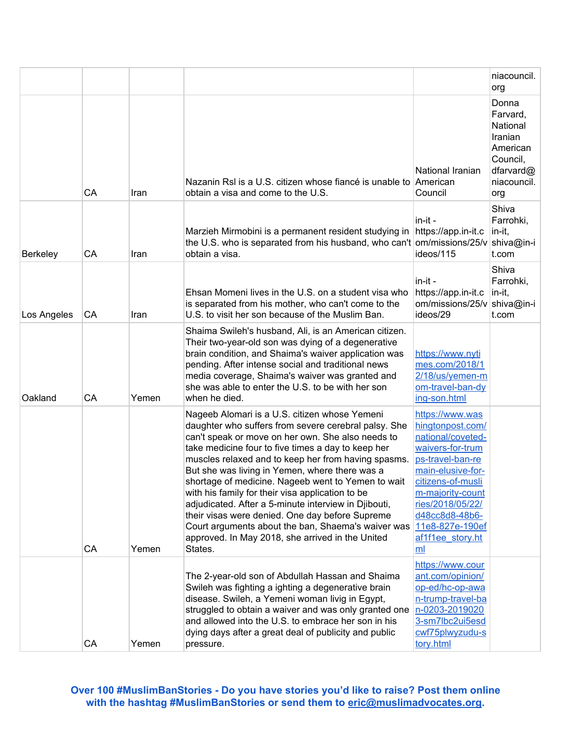|             |    |       |                                                                                                                                                                                                                                                                                                                                                                                                                                                                                                                                                                                                                                                                     |                                                                                                                                                                                                                                                   | niacouncil.<br>org                                                                                  |
|-------------|----|-------|---------------------------------------------------------------------------------------------------------------------------------------------------------------------------------------------------------------------------------------------------------------------------------------------------------------------------------------------------------------------------------------------------------------------------------------------------------------------------------------------------------------------------------------------------------------------------------------------------------------------------------------------------------------------|---------------------------------------------------------------------------------------------------------------------------------------------------------------------------------------------------------------------------------------------------|-----------------------------------------------------------------------------------------------------|
|             | CA | Iran  | Nazanin RsI is a U.S. citizen whose fiancé is unable to<br>obtain a visa and come to the U.S.                                                                                                                                                                                                                                                                                                                                                                                                                                                                                                                                                                       | National Iranian<br>American<br>Council                                                                                                                                                                                                           | Donna<br>Farvard,<br>National<br>Iranian<br>American<br>Council,<br>dfarvard@<br>niacouncil.<br>org |
| Berkeley    | CA | Iran  | Marzieh Mirmobini is a permanent resident studying in<br>the U.S. who is separated from his husband, who can't<br>obtain a visa.                                                                                                                                                                                                                                                                                                                                                                                                                                                                                                                                    | in-it -<br>https://app.in-it.c<br>om/missions/25/v<br>ideos/115                                                                                                                                                                                   | Shiva<br>Farrohki,<br>in-it,<br>shiva@in-i<br>t.com                                                 |
| Los Angeles | CA | Iran  | Ehsan Momeni lives in the U.S. on a student visa who<br>is separated from his mother, who can't come to the<br>U.S. to visit her son because of the Muslim Ban.                                                                                                                                                                                                                                                                                                                                                                                                                                                                                                     | in-it -<br>https://app.in-it.c<br>om/missions/25/v<br>ideos/29                                                                                                                                                                                    | Shiva<br>Farrohki,<br>in-it,<br>shiva@in-i<br>t.com                                                 |
| Oakland     | CA | Yemen | Shaima Swileh's husband, Ali, is an American citizen.<br>Their two-year-old son was dying of a degenerative<br>brain condition, and Shaima's waiver application was<br>pending. After intense social and traditional news<br>media coverage, Shaima's waiver was granted and<br>she was able to enter the U.S. to be with her son<br>when he died.                                                                                                                                                                                                                                                                                                                  | https://www.nyti<br>mes.com/2018/1<br>2/18/us/yemen-m<br>om-travel-ban-dy<br>ing-son.html                                                                                                                                                         |                                                                                                     |
|             | CA | Yemen | Nageeb Alomari is a U.S. citizen whose Yemeni<br>daughter who suffers from severe cerebral palsy. She<br>can't speak or move on her own. She also needs to<br>take medicine four to five times a day to keep her<br>muscles relaxed and to keep her from having spasms.<br>But she was living in Yemen, where there was a<br>shortage of medicine. Nageeb went to Yemen to wait<br>with his family for their visa application to be<br>adjudicated. After a 5-minute interview in Djibouti,<br>their visas were denied. One day before Supreme<br>Court arguments about the ban, Shaema's waiver was<br>approved. In May 2018, she arrived in the United<br>States. | https://www.was<br>hingtonpost.com/<br>national/coveted-<br>waivers-for-trum<br>ps-travel-ban-re<br>main-elusive-for-<br>citizens-of-musli<br>m-majority-count<br>ries/2018/05/22/<br>d48cc8d8-48b6-<br>11e8-827e-190ef<br>af1f1ee story.ht<br>ml |                                                                                                     |
|             | CA | Yemen | The 2-year-old son of Abdullah Hassan and Shaima<br>Swileh was fighting a ighting a degenerative brain<br>disease. Swileh, a Yemeni woman livig in Egypt,<br>struggled to obtain a waiver and was only granted one<br>and allowed into the U.S. to embrace her son in his<br>dying days after a great deal of publicity and public<br>pressure.                                                                                                                                                                                                                                                                                                                     | https://www.cour<br>ant.com/opinion/<br>op-ed/hc-op-awa<br>n-trump-travel-ba<br>n-0203-2019020<br>3-sm7lbc2ui5esd<br>cwf75plwyzudu-s<br>tory.html                                                                                                 |                                                                                                     |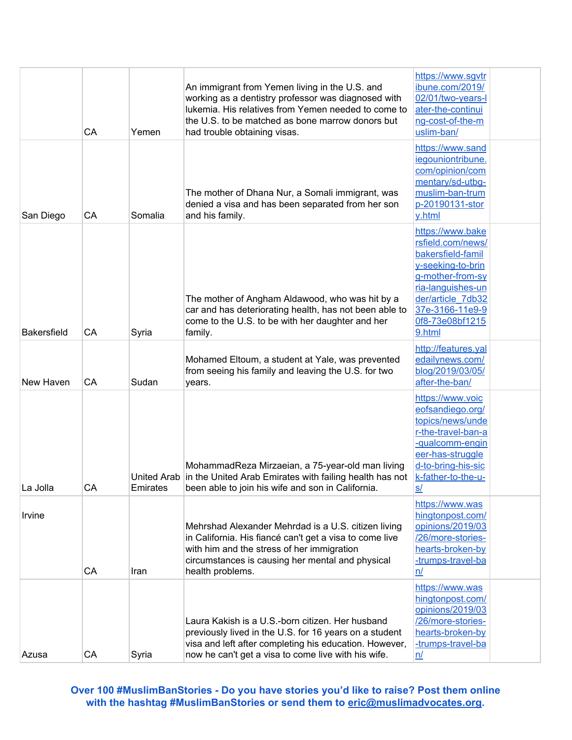|                    | CA | Yemen    | An immigrant from Yemen living in the U.S. and<br>working as a dentistry professor was diagnosed with<br>lukemia. His relatives from Yemen needed to come to<br>the U.S. to be matched as bone marrow donors but<br>had trouble obtaining visas. | https://www.sgvtr<br>ibune.com/2019/<br>02/01/two-years-l<br>ater-the-continui<br>ng-cost-of-the-m<br>uslim-ban/                                                                              |  |
|--------------------|----|----------|--------------------------------------------------------------------------------------------------------------------------------------------------------------------------------------------------------------------------------------------------|-----------------------------------------------------------------------------------------------------------------------------------------------------------------------------------------------|--|
| San Diego          | CA | Somalia  | The mother of Dhana Nur, a Somali immigrant, was<br>denied a visa and has been separated from her son<br>and his family.                                                                                                                         | https://www.sand<br>iegouniontribune.<br>com/opinion/com<br>mentary/sd-utbg-<br>muslim-ban-trum<br>p-20190131-stor<br>y.html                                                                  |  |
| <b>Bakersfield</b> | CA | Syria    | The mother of Angham Aldawood, who was hit by a<br>car and has deteriorating health, has not been able to<br>come to the U.S. to be with her daughter and her<br>family.                                                                         | https://www.bake<br>rsfield.com/news/<br>bakersfield-famil<br>y-seeking-to-brin<br>g-mother-from-sy<br>ria-languishes-un<br>der/article 7db32<br>37e-3166-11e9-9<br>0f8-73e08bf1215<br>9.html |  |
| New Haven          | CA | Sudan    | Mohamed Eltoum, a student at Yale, was prevented<br>from seeing his family and leaving the U.S. for two<br>years.                                                                                                                                | http://features.yal<br>edailynews.com/<br>blog/2019/03/05/<br>after-the-ban/                                                                                                                  |  |
| La Jolla           | CA | Emirates | MohammadReza Mirzaeian, a 75-year-old man living<br>United Arab in the United Arab Emirates with failing health has not<br>been able to join his wife and son in California.                                                                     | https://www.voic<br>eofsandiego.org/<br>topics/news/unde<br>r-the-travel-ban-a<br>-qualcomm-engin<br>eer-has-struggle<br>d-to-bring-his-sic<br>k-father-to-the-u-<br><u>s/</u>                |  |
| Irvine             | CA | Iran     | Mehrshad Alexander Mehrdad is a U.S. citizen living<br>in California. His fiancé can't get a visa to come live<br>with him and the stress of her immigration<br>circumstances is causing her mental and physical<br>health problems.             | https://www.was<br>hingtonpost.com/<br>opinions/2019/03<br>/26/more-stories-<br>hearts-broken-by<br>-trumps-travel-ba<br>n/                                                                   |  |
| Azusa              | CA | Syria    | Laura Kakish is a U.S.-born citizen. Her husband<br>previously lived in the U.S. for 16 years on a student<br>visa and left after completing his education. However,<br>now he can't get a visa to come live with his wife.                      | https://www.was<br>hingtonpost.com/<br>opinions/2019/03<br>/26/more-stories-<br>hearts-broken-by<br>-trumps-travel-ba<br>n/                                                                   |  |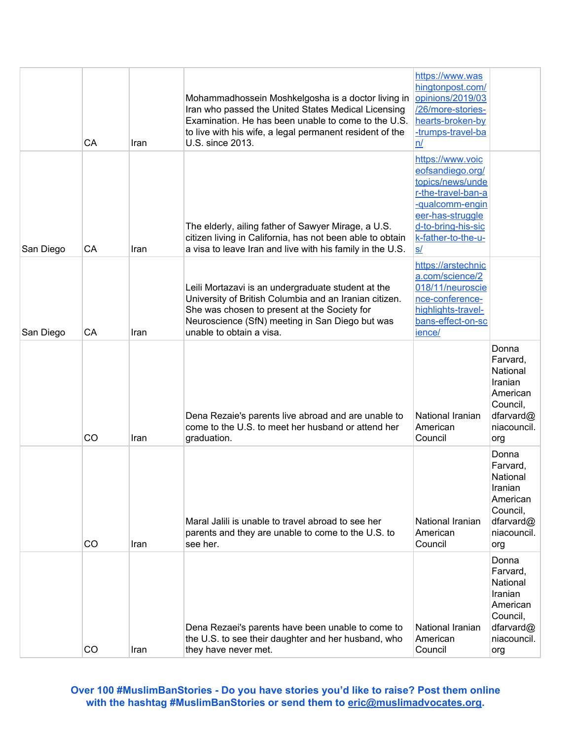|           | CA | Iran | Mohammadhossein Moshkelgosha is a doctor living in<br>Iran who passed the United States Medical Licensing<br>Examination. He has been unable to come to the U.S.<br>to live with his wife, a legal permanent resident of the<br>U.S. since 2013. | https://www.was<br>hingtonpost.com/<br>opinions/2019/03<br>/26/more-stories-<br>hearts-broken-by<br>-trumps-travel-ba<br>n/                                             |                                                                                                     |
|-----------|----|------|--------------------------------------------------------------------------------------------------------------------------------------------------------------------------------------------------------------------------------------------------|-------------------------------------------------------------------------------------------------------------------------------------------------------------------------|-----------------------------------------------------------------------------------------------------|
| San Diego | CA | Iran | The elderly, ailing father of Sawyer Mirage, a U.S.<br>citizen living in California, has not been able to obtain<br>a visa to leave Iran and live with his family in the U.S.                                                                    | https://www.voic<br>eofsandiego.org/<br>topics/news/unde<br>r-the-travel-ban-a<br>-qualcomm-engin<br>eer-has-struggle<br>d-to-bring-his-sic<br>k-father-to-the-u-<br>S/ |                                                                                                     |
| San Diego | CA | Iran | Leili Mortazavi is an undergraduate student at the<br>University of British Columbia and an Iranian citizen.<br>She was chosen to present at the Society for<br>Neuroscience (SfN) meeting in San Diego but was<br>unable to obtain a visa.      | https://arstechnic<br>a.com/science/2<br>018/11/neuroscie<br>nce-conference-<br>highlights-travel-<br>bans-effect-on-sc<br>ience/                                       |                                                                                                     |
|           | CO | Iran | Dena Rezaie's parents live abroad and are unable to<br>come to the U.S. to meet her husband or attend her<br>graduation.                                                                                                                         | National Iranian<br>American<br>Council                                                                                                                                 | Donna<br>Farvard,<br>National<br>Iranian<br>American<br>Council,<br>dfarvard@<br>niacouncil.<br>org |
|           | CO | Iran | Maral Jalili is unable to travel abroad to see her<br>parents and they are unable to come to the U.S. to<br>see her.                                                                                                                             | National Iranian<br>American<br>Council                                                                                                                                 | Donna<br>Farvard,<br>National<br>Iranian<br>American<br>Council,<br>dfarvard@<br>niacouncil.<br>org |
|           | CO | Iran | Dena Rezaei's parents have been unable to come to<br>the U.S. to see their daughter and her husband, who<br>they have never met.                                                                                                                 | National Iranian<br>American<br>Council                                                                                                                                 | Donna<br>Farvard,<br>National<br>Iranian<br>American<br>Council,<br>dfarvard@<br>niacouncil.<br>org |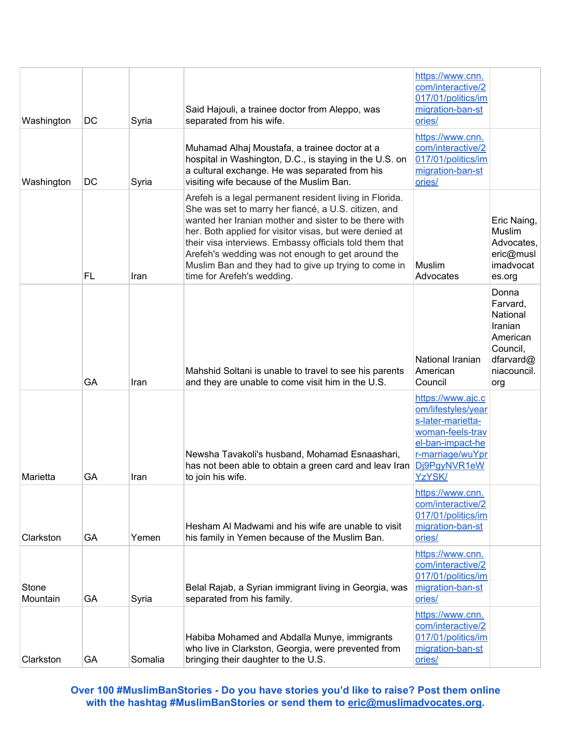| Washington        | DC | Syria   | Said Hajouli, a trainee doctor from Aleppo, was<br>separated from his wife.                                                                                                                                                                                                                                                                                                                                                               | https://www.cnn.<br>com/interactive/2<br>017/01/politics/im<br>migration-ban-st<br>ories/                                                          |                                                                                                     |
|-------------------|----|---------|-------------------------------------------------------------------------------------------------------------------------------------------------------------------------------------------------------------------------------------------------------------------------------------------------------------------------------------------------------------------------------------------------------------------------------------------|----------------------------------------------------------------------------------------------------------------------------------------------------|-----------------------------------------------------------------------------------------------------|
| Washington        | DC | Syria   | Muhamad Alhaj Moustafa, a trainee doctor at a<br>hospital in Washington, D.C., is staying in the U.S. on<br>a cultural exchange. He was separated from his<br>visiting wife because of the Muslim Ban.                                                                                                                                                                                                                                    | https://www.cnn.<br>com/interactive/2<br>017/01/politics/im<br>migration-ban-st<br>ories/                                                          |                                                                                                     |
|                   | FL | Iran    | Arefeh is a legal permanent resident living in Florida.<br>She was set to marry her fiancé, a U.S. citizen, and<br>wanted her Iranian mother and sister to be there with<br>her. Both applied for visitor visas, but were denied at<br>their visa interviews. Embassy officials told them that<br>Arefeh's wedding was not enough to get around the<br>Muslim Ban and they had to give up trying to come in<br>time for Arefeh's wedding. | Muslim<br>Advocates                                                                                                                                | Eric Naing,<br>Muslim<br>Advocates,<br>eric@musl<br>imadvocat<br>es.org                             |
|                   | GA | Iran    | Mahshid Soltani is unable to travel to see his parents<br>and they are unable to come visit him in the U.S.                                                                                                                                                                                                                                                                                                                               | National Iranian<br>American<br>Council                                                                                                            | Donna<br>Farvard,<br>National<br>Iranian<br>American<br>Council,<br>dfarvard@<br>niacouncil.<br>org |
| Marietta          | GA | Iran    | Newsha Tavakoli's husband, Mohamad Esnaashari,<br>has not been able to obtain a green card and leav Iran<br>to join his wife.                                                                                                                                                                                                                                                                                                             | https://www.ajc.c<br>om/lifestyles/year<br>s-later-marietta-<br>woman-feels-trav<br>el-ban-impact-he<br>r-marriage/wuYpr<br>Dj9PgyNVR1eW<br>YzYSK/ |                                                                                                     |
| Clarkston         | GA | Yemen   | Hesham AI Madwami and his wife are unable to visit<br>his family in Yemen because of the Muslim Ban.                                                                                                                                                                                                                                                                                                                                      | https://www.cnn.<br>com/interactive/2<br>017/01/politics/im<br>migration-ban-st<br>ories/                                                          |                                                                                                     |
| Stone<br>Mountain | GA | Syria   | Belal Rajab, a Syrian immigrant living in Georgia, was<br>separated from his family.                                                                                                                                                                                                                                                                                                                                                      | https://www.cnn.<br>com/interactive/2<br>017/01/politics/im<br>migration-ban-st<br>ories/                                                          |                                                                                                     |
| Clarkston         | GA | Somalia | Habiba Mohamed and Abdalla Munye, immigrants<br>who live in Clarkston, Georgia, were prevented from<br>bringing their daughter to the U.S.                                                                                                                                                                                                                                                                                                | https://www.cnn.<br>com/interactive/2<br>017/01/politics/im<br>migration-ban-st<br>ories/                                                          |                                                                                                     |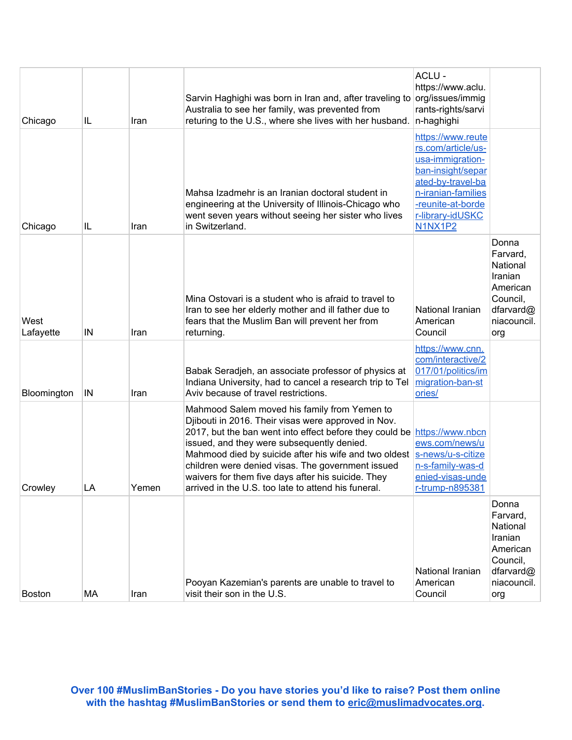| Chicago           | IL | Iran  | Sarvin Haghighi was born in Iran and, after traveling to org/issues/immig<br>Australia to see her family, was prevented from<br>returing to the U.S., where she lives with her husband.                                                                                                                                                                                                                                                                  | ACLU -<br>https://www.aclu.<br>rants-rights/sarvi<br>n-haghighi                                                                                                                 |                                                                                                     |
|-------------------|----|-------|----------------------------------------------------------------------------------------------------------------------------------------------------------------------------------------------------------------------------------------------------------------------------------------------------------------------------------------------------------------------------------------------------------------------------------------------------------|---------------------------------------------------------------------------------------------------------------------------------------------------------------------------------|-----------------------------------------------------------------------------------------------------|
| Chicago           | IL | Iran  | Mahsa Izadmehr is an Iranian doctoral student in<br>engineering at the University of Illinois-Chicago who<br>went seven years without seeing her sister who lives<br>in Switzerland.                                                                                                                                                                                                                                                                     | https://www.reute<br>rs.com/article/us-<br>usa-immigration-<br>ban-insight/separ<br>ated-by-travel-ba<br>n-iranian-families<br>-reunite-at-borde<br>r-library-idUSKC<br>N1NX1P2 |                                                                                                     |
| West<br>Lafayette | IN | Iran  | Mina Ostovari is a student who is afraid to travel to<br>Iran to see her elderly mother and ill father due to<br>fears that the Muslim Ban will prevent her from<br>returning.                                                                                                                                                                                                                                                                           | National Iranian<br>American<br>Council                                                                                                                                         | Donna<br>Farvard,<br>National<br>Iranian<br>American<br>Council,<br>dfarvard@<br>niacouncil.<br>org |
| Bloomington       | IN | Iran  | Babak Seradjeh, an associate professor of physics at<br>Indiana University, had to cancel a research trip to Tel<br>Aviv because of travel restrictions.                                                                                                                                                                                                                                                                                                 | https://www.cnn.<br>com/interactive/2<br>017/01/politics/im<br>migration-ban-st<br>ories/                                                                                       |                                                                                                     |
| Crowley           | LA | Yemen | Mahmood Salem moved his family from Yemen to<br>Diibouti in 2016. Their visas were approved in Nov.<br>2017, but the ban went into effect before they could be https://www.nbcn<br>issued, and they were subsequently denied.<br>Mahmood died by suicide after his wife and two oldest<br>children were denied visas. The government issued<br>waivers for them five days after his suicide. They<br>arrived in the U.S. too late to attend his funeral. | ews.com/news/u<br>s-news/u-s-citize<br>n-s-family-was-d<br>enied-visas-unde<br><u>r-trump-n895381</u>                                                                           |                                                                                                     |
| <b>Boston</b>     | MA | Iran  | Pooyan Kazemian's parents are unable to travel to<br>visit their son in the U.S.                                                                                                                                                                                                                                                                                                                                                                         | National Iranian<br>American<br>Council                                                                                                                                         | Donna<br>Farvard,<br>National<br>Iranian<br>American<br>Council,<br>dfarvard@<br>niacouncil.<br>org |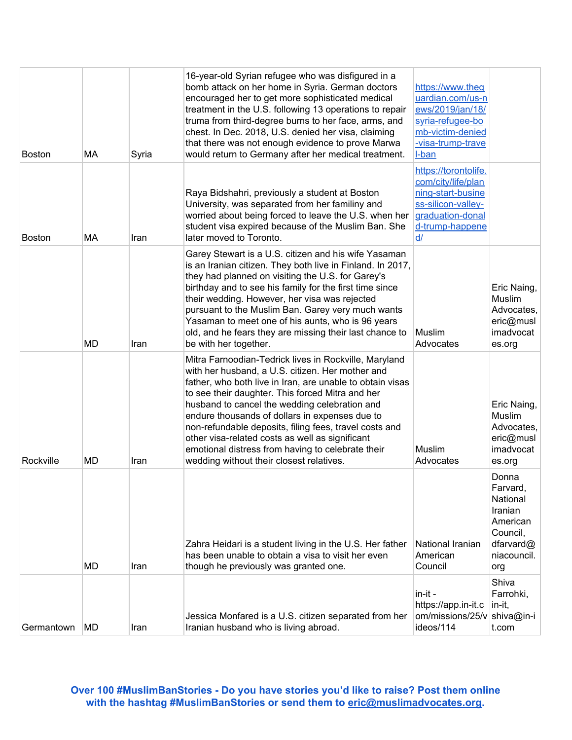| <b>Boston</b> | МA        | Syria | 16-year-old Syrian refugee who was disfigured in a<br>bomb attack on her home in Syria. German doctors<br>encouraged her to get more sophisticated medical<br>treatment in the U.S. following 13 operations to repair<br>truma from third-degree burns to her face, arms, and<br>chest. In Dec. 2018, U.S. denied her visa, claiming<br>that there was not enough evidence to prove Marwa<br>would return to Germany after her medical treatment.                                                                                           | https://www.theg<br>uardian.com/us-n<br>ews/2019/jan/18/<br>syria-refugee-bo<br>mb-victim-denied<br>-visa-trump-trave<br>I-ban     |                                                                                                     |
|---------------|-----------|-------|---------------------------------------------------------------------------------------------------------------------------------------------------------------------------------------------------------------------------------------------------------------------------------------------------------------------------------------------------------------------------------------------------------------------------------------------------------------------------------------------------------------------------------------------|------------------------------------------------------------------------------------------------------------------------------------|-----------------------------------------------------------------------------------------------------|
| Boston        | МA        | Iran  | Raya Bidshahri, previously a student at Boston<br>University, was separated from her familiny and<br>worried about being forced to leave the U.S. when her<br>student visa expired because of the Muslim Ban. She<br>later moved to Toronto.                                                                                                                                                                                                                                                                                                | https://torontolife.<br>com/city/life/plan<br>ning-start-busine<br>ss-silicon-valley-<br>graduation-donal<br>d-trump-happene<br>d/ |                                                                                                     |
|               | MD        | Iran  | Garey Stewart is a U.S. citizen and his wife Yasaman<br>is an Iranian citizen. They both live in Finland. In 2017,<br>they had planned on visiting the U.S. for Garey's<br>birthday and to see his family for the first time since<br>their wedding. However, her visa was rejected<br>pursuant to the Muslim Ban. Garey very much wants<br>Yasaman to meet one of his aunts, who is 96 years<br>old, and he fears they are missing their last chance to<br>be with her together.                                                           | Muslim<br>Advocates                                                                                                                | Eric Naing,<br>Muslim<br>Advocates,<br>eric@musl<br>imadvocat<br>es.org                             |
| Rockville     | <b>MD</b> | Iran  | Mitra Farnoodian-Tedrick lives in Rockville, Maryland<br>with her husband, a U.S. citizen. Her mother and<br>father, who both live in Iran, are unable to obtain visas<br>to see their daughter. This forced Mitra and her<br>husband to cancel the wedding celebration and<br>endure thousands of dollars in expenses due to<br>non-refundable deposits, filing fees, travel costs and<br>other visa-related costs as well as significant<br>emotional distress from having to celebrate their<br>wedding without their closest relatives. | <b>Muslim</b><br>Advocates                                                                                                         | Eric Naing,<br>Muslim<br>Advocates,<br>eric@musl<br>imadvocat<br>es.org                             |
|               | <b>MD</b> | Iran  | Zahra Heidari is a student living in the U.S. Her father<br>has been unable to obtain a visa to visit her even<br>though he previously was granted one.                                                                                                                                                                                                                                                                                                                                                                                     | National Iranian<br>American<br>Council                                                                                            | Donna<br>Farvard,<br>National<br>Iranian<br>American<br>Council,<br>dfarvard@<br>niacouncil.<br>org |
| Germantown    | MD        | Iran  | Jessica Monfared is a U.S. citizen separated from her<br>Iranian husband who is living abroad.                                                                                                                                                                                                                                                                                                                                                                                                                                              | in-it-<br>https://app.in-it.c<br>om/missions/25/v<br>ideos/114                                                                     | Shiva<br>Farrohki,<br>in-it,<br>shiva@in-i<br>t.com                                                 |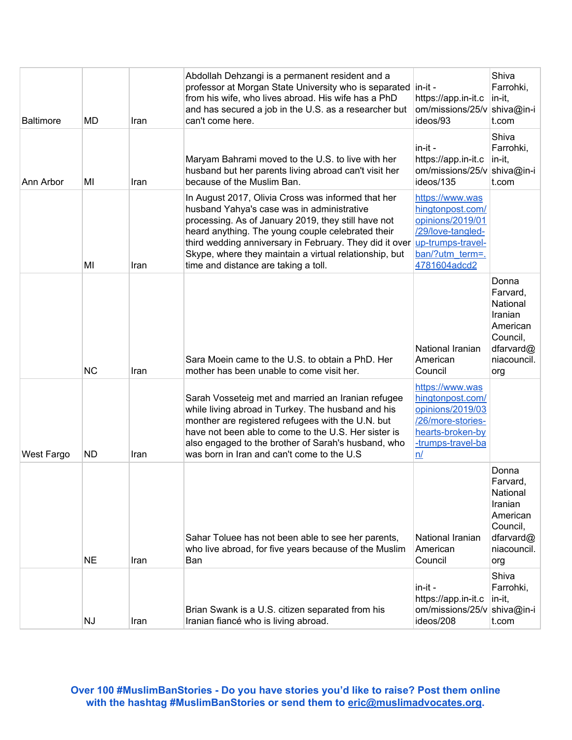| <b>Baltimore</b> | MD        | Iran | Abdollah Dehzangi is a permanent resident and a<br>professor at Morgan State University who is separated in-it -<br>from his wife, who lives abroad. His wife has a PhD<br>and has secured a job in the U.S. as a researcher but<br>can't come here.                                                                                                                      | https://app.in-it.c<br>om/missions/25/v<br>ideos/93                                                                                               | Shiva<br>Farrohki,<br>in-it,<br>shiva@in-i<br>t.com                                                 |
|------------------|-----------|------|---------------------------------------------------------------------------------------------------------------------------------------------------------------------------------------------------------------------------------------------------------------------------------------------------------------------------------------------------------------------------|---------------------------------------------------------------------------------------------------------------------------------------------------|-----------------------------------------------------------------------------------------------------|
| Ann Arbor        | MI        | Iran | Maryam Bahrami moved to the U.S. to live with her<br>husband but her parents living abroad can't visit her<br>because of the Muslim Ban.                                                                                                                                                                                                                                  | in-it -<br>https://app.in-it.c<br>om/missions/25/v<br>ideos/135                                                                                   | Shiva<br>Farrohki,<br>in-it,<br>shiva@in-i<br>t.com                                                 |
|                  | MI        | Iran | In August 2017, Olivia Cross was informed that her<br>husband Yahya's case was in administrative<br>processing. As of January 2019, they still have not<br>heard anything. The young couple celebrated their<br>third wedding anniversary in February. They did it over<br>Skype, where they maintain a virtual relationship, but<br>time and distance are taking a toll. | https://www.was<br>hingtonpost.com/<br>opinions/2019/01<br>/29/love-tangled-<br>up-trumps-travel-<br>ban/?utm_term=.<br>4781604adcd2              |                                                                                                     |
|                  | <b>NC</b> | Iran | Sara Moein came to the U.S. to obtain a PhD. Her<br>mother has been unable to come visit her.                                                                                                                                                                                                                                                                             | National Iranian<br>American<br>Council                                                                                                           | Donna<br>Farvard,<br>National<br>Iranian<br>American<br>Council,<br>dfarvard@<br>niacouncil.<br>org |
| West Fargo       | <b>ND</b> | Iran | Sarah Vosseteig met and married an Iranian refugee<br>while living abroad in Turkey. The husband and his<br>monther are registered refugees with the U.N. but<br>have not been able to come to the U.S. Her sister is<br>also engaged to the brother of Sarah's husband, who<br>was born in Iran and can't come to the U.S                                                | https://www.was<br>hingtonpost.com/<br>opinions/2019/03<br>/26/more-stories-<br>hearts-broken-by<br>-trumps-travel-ba<br>$\underline{\mathsf{n}}$ |                                                                                                     |
|                  | <b>NE</b> | Iran | Sahar Toluee has not been able to see her parents,<br>who live abroad, for five years because of the Muslim<br>Ban                                                                                                                                                                                                                                                        | National Iranian<br>American<br>Council                                                                                                           | Donna<br>Farvard.<br>National<br>Iranian<br>American<br>Council,<br>dfarvard@<br>niacouncil.<br>org |
|                  | <b>NJ</b> | Iran | Brian Swank is a U.S. citizen separated from his<br>Iranian fiancé who is living abroad.                                                                                                                                                                                                                                                                                  | in-it -<br>https://app.in-it.c<br>om/missions/25/v<br>ideos/208                                                                                   | Shiva<br>Farrohki,<br>in-it,<br>shiva@in-i<br>t.com                                                 |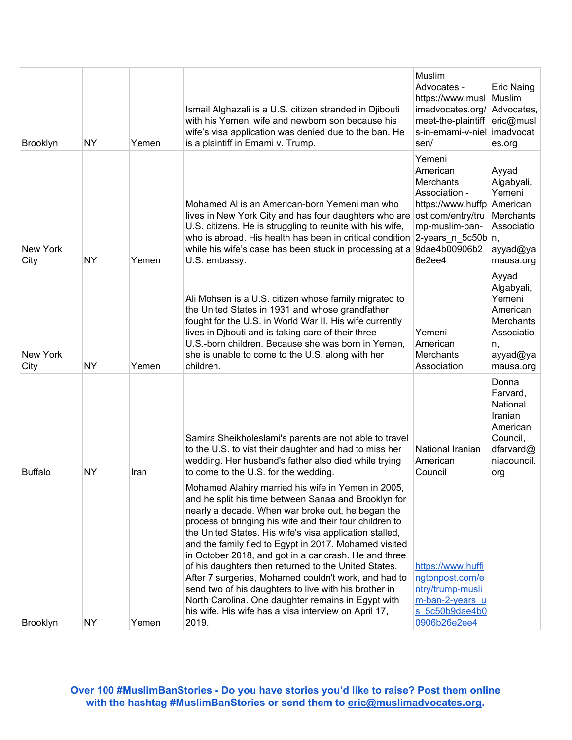|                  |           |       | Ismail Alghazali is a U.S. citizen stranded in Djibouti<br>with his Yemeni wife and newborn son because his<br>wife's visa application was denied due to the ban. He                                                                                                                                                                                                                                                                                                                                                                                                                                                                                                                                    | Muslim<br>Advocates -<br>https://www.musl<br>imadvocates.org/<br>meet-the-plaintiff<br>s-in-emami-v-niel                                                                      | Eric Naing,<br>Muslim<br>Advocates,<br>eric@musl<br>imadvocat                                              |
|------------------|-----------|-------|---------------------------------------------------------------------------------------------------------------------------------------------------------------------------------------------------------------------------------------------------------------------------------------------------------------------------------------------------------------------------------------------------------------------------------------------------------------------------------------------------------------------------------------------------------------------------------------------------------------------------------------------------------------------------------------------------------|-------------------------------------------------------------------------------------------------------------------------------------------------------------------------------|------------------------------------------------------------------------------------------------------------|
| <b>Brooklyn</b>  | <b>NY</b> | Yemen | is a plaintiff in Emami v. Trump.                                                                                                                                                                                                                                                                                                                                                                                                                                                                                                                                                                                                                                                                       | sen/                                                                                                                                                                          | es.org                                                                                                     |
| New York<br>City | NΥ        | Yemen | Mohamed AI is an American-born Yemeni man who<br>lives in New York City and has four daughters who are<br>U.S. citizens. He is struggling to reunite with his wife,<br>who is abroad. His health has been in critical condition<br>while his wife's case has been stuck in processing at a<br>U.S. embassy.                                                                                                                                                                                                                                                                                                                                                                                             | Yemeni<br>American<br><b>Merchants</b><br>Association -<br>https://www.huffp<br>ost.com/entry/tru<br>mp-muslim-ban-<br>$ 2$ -years_n_5c50b $ n $ ,<br>9dae4b00906b2<br>6e2ee4 | Ayyad<br>Algabyali,<br>Yemeni<br>American<br>Merchants<br>Associatio<br>ayyad@ya<br>mausa.org              |
| New York<br>City | <b>NY</b> | Yemen | Ali Mohsen is a U.S. citizen whose family migrated to<br>the United States in 1931 and whose grandfather<br>fought for the U.S. in World War II. His wife currently<br>lives in Djbouti and is taking care of their three<br>U.S.-born children. Because she was born in Yemen,<br>she is unable to come to the U.S. along with her<br>children.                                                                                                                                                                                                                                                                                                                                                        | Yemeni<br>American<br><b>Merchants</b><br>Association                                                                                                                         | Ayyad<br>Algabyali,<br>Yemeni<br>American<br><b>Merchants</b><br>Associatio<br>n,<br>ayyad@ya<br>mausa.org |
| <b>Buffalo</b>   | NΥ        | Iran  | Samira Sheikholeslami's parents are not able to travel<br>to the U.S. to vist their daughter and had to miss her<br>wedding. Her husband's father also died while trying<br>to come to the U.S. for the wedding.                                                                                                                                                                                                                                                                                                                                                                                                                                                                                        | National Iranian<br>American<br>Council                                                                                                                                       | Donna<br>Farvard,<br>National<br>Iranian<br>American<br>Council,<br>dfarvard@<br>niacouncil.<br>org        |
| Brooklyn         | NY        | Yemen | Mohamed Alahiry married his wife in Yemen in 2005,<br>and he split his time between Sanaa and Brooklyn for<br>nearly a decade. When war broke out, he began the<br>process of bringing his wife and their four children to<br>the United States. His wife's visa application stalled,<br>and the family fled to Egypt in 2017. Mohamed visited<br>in October 2018, and got in a car crash. He and three<br>of his daughters then returned to the United States.<br>After 7 surgeries, Mohamed couldn't work, and had to<br>send two of his daughters to live with his brother in<br>North Carolina. One daughter remains in Egypt with<br>his wife. His wife has a visa interview on April 17,<br>2019. | https://www.huffi<br>ngtonpost.com/e<br>ntry/trump-musli<br>m-ban-2-years u<br>s 5c50b9dae4b0<br>0906b26e2ee4                                                                 |                                                                                                            |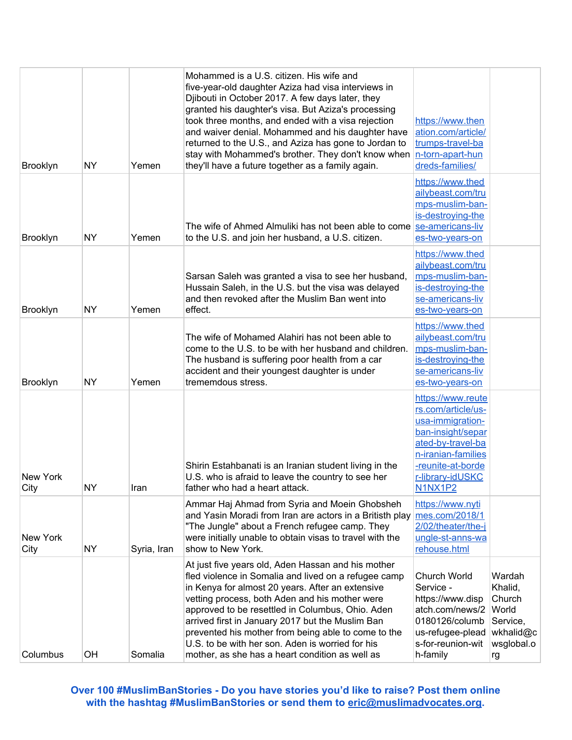| <b>Brooklyn</b>  | <b>NY</b> | Yemen       | Mohammed is a U.S. citizen. His wife and<br>five-year-old daughter Aziza had visa interviews in<br>Djibouti in October 2017. A few days later, they<br>granted his daughter's visa. But Aziza's processing<br>took three months, and ended with a visa rejection<br>and waiver denial. Mohammed and his daughter have<br>returned to the U.S., and Aziza has gone to Jordan to<br>stay with Mohammed's brother. They don't know when<br>they'll have a future together as a family again. | https://www.then<br>ation.com/article/<br>trumps-travel-ba<br>n-torn-apart-hun<br>dreds-families/                                                                                      |                                                                                   |
|------------------|-----------|-------------|-------------------------------------------------------------------------------------------------------------------------------------------------------------------------------------------------------------------------------------------------------------------------------------------------------------------------------------------------------------------------------------------------------------------------------------------------------------------------------------------|----------------------------------------------------------------------------------------------------------------------------------------------------------------------------------------|-----------------------------------------------------------------------------------|
| <b>Brooklyn</b>  | <b>NY</b> | Yemen       | The wife of Ahmed Almuliki has not been able to come se-americans-liv<br>to the U.S. and join her husband, a U.S. citizen.                                                                                                                                                                                                                                                                                                                                                                | https://www.thed<br>ailybeast.com/tru<br>mps-muslim-ban-<br>is-destroying-the<br>es-two-years-on                                                                                       |                                                                                   |
| <b>Brooklyn</b>  | <b>NY</b> | Yemen       | Sarsan Saleh was granted a visa to see her husband,<br>Hussain Saleh, in the U.S. but the visa was delayed<br>and then revoked after the Muslim Ban went into<br>effect.                                                                                                                                                                                                                                                                                                                  | https://www.thed<br>ailybeast.com/tru<br>mps-muslim-ban-<br>is-destroying-the<br>se-americans-liv<br>es-two-years-on                                                                   |                                                                                   |
| <b>Brooklyn</b>  | <b>NY</b> | Yemen       | The wife of Mohamed Alahiri has not been able to<br>come to the U.S. to be with her husband and children.<br>The husband is suffering poor health from a car<br>accident and their youngest daughter is under<br>trememdous stress.                                                                                                                                                                                                                                                       | https://www.thed<br>ailybeast.com/tru<br>mps-muslim-ban-<br>is-destroying-the<br>se-americans-liv<br>es-two-years-on                                                                   |                                                                                   |
| New York<br>City | ΝY        | Iran        | Shirin Estahbanati is an Iranian student living in the<br>U.S. who is afraid to leave the country to see her<br>father who had a heart attack.                                                                                                                                                                                                                                                                                                                                            | https://www.reute<br>rs.com/article/us-<br>usa-immigration-<br>ban-insight/separ<br>ated-by-travel-ba<br>n-iranian-families<br>-reunite-at-borde<br>r-library-idUSKC<br><b>N1NX1P2</b> |                                                                                   |
| New York<br>City | <b>NY</b> | Syria, Iran | Ammar Haj Ahmad from Syria and Moein Ghobsheh<br>and Yasin Moradi from Iran are actors in a Britisth play<br>"The Jungle" about a French refugee camp. They<br>were initially unable to obtain visas to travel with the<br>show to New York.                                                                                                                                                                                                                                              | https://www.nyti<br>mes.com/2018/1<br>2/02/theater/the-j<br>ungle-st-anns-wa<br>rehouse.html                                                                                           |                                                                                   |
| Columbus         | OH        | Somalia     | At just five years old, Aden Hassan and his mother<br>fled violence in Somalia and lived on a refugee camp<br>in Kenya for almost 20 years. After an extensive<br>vetting process, both Aden and his mother were<br>approved to be resettled in Columbus, Ohio. Aden<br>arrived first in January 2017 but the Muslim Ban<br>prevented his mother from being able to come to the<br>U.S. to be with her son. Aden is worried for his<br>mother, as she has a heart condition as well as    | Church World<br>Service -<br>https://www.disp<br>atch.com/news/2<br>0180126/columb<br>us-refugee-plead<br>s-for-reunion-wit<br>h-family                                                | Wardah<br>Khalid,<br>Church<br>World<br>Service,<br>wkhalid@c<br>wsglobal.o<br>rg |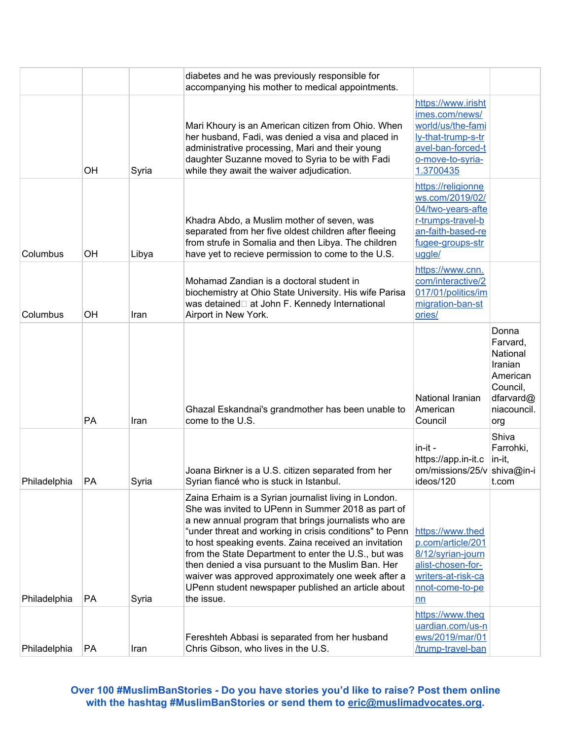|              |           |       | diabetes and he was previously responsible for<br>accompanying his mother to medical appointments.                                                                                                                                                                                                                                                                                                                                                                                                                              |                                                                                                                                       |                                                                                                     |
|--------------|-----------|-------|---------------------------------------------------------------------------------------------------------------------------------------------------------------------------------------------------------------------------------------------------------------------------------------------------------------------------------------------------------------------------------------------------------------------------------------------------------------------------------------------------------------------------------|---------------------------------------------------------------------------------------------------------------------------------------|-----------------------------------------------------------------------------------------------------|
|              | <b>OH</b> | Syria | Mari Khoury is an American citizen from Ohio. When<br>her husband, Fadi, was denied a visa and placed in<br>administrative processing, Mari and their young<br>daughter Suzanne moved to Syria to be with Fadi<br>while they await the waiver adjudication.                                                                                                                                                                                                                                                                     | https://www.irisht<br>imes.com/news/<br>world/us/the-fami<br>ly-that-trump-s-tr<br>avel-ban-forced-t<br>o-move-to-syria-<br>1.3700435 |                                                                                                     |
| Columbus     | OH        | Libya | Khadra Abdo, a Muslim mother of seven, was<br>separated from her five oldest children after fleeing<br>from strufe in Somalia and then Libya. The children<br>have yet to recieve permission to come to the U.S.                                                                                                                                                                                                                                                                                                                | https://religionne<br>ws.com/2019/02/<br>04/two-years-afte<br>r-trumps-travel-b<br>an-faith-based-re<br>fugee-groups-str<br>uggle/    |                                                                                                     |
| Columbus     | OH        | Iran  | Mohamad Zandian is a doctoral student in<br>biochemistry at Ohio State University. His wife Parisa<br>was detained□ at John F. Kennedy International<br>Airport in New York.                                                                                                                                                                                                                                                                                                                                                    | https://www.cnn.<br>com/interactive/2<br>017/01/politics/im<br>migration-ban-st<br>ories/                                             |                                                                                                     |
|              | PA        | Iran  | Ghazal Eskandnai's grandmother has been unable to<br>come to the U.S.                                                                                                                                                                                                                                                                                                                                                                                                                                                           | National Iranian<br>American<br>Council                                                                                               | Donna<br>Farvard,<br>National<br>Iranian<br>American<br>Council,<br>dfarvard@<br>niacouncil.<br>org |
| Philadelphia | PA        | Syria | Joana Birkner is a U.S. citizen separated from her<br>Syrian fiancé who is stuck in Istanbul.                                                                                                                                                                                                                                                                                                                                                                                                                                   | in-it -<br>https://app.in-it.c<br>om/missions/25/v<br>ideos/120                                                                       | Shiva<br>Farrohki,<br>in-it,<br>shiva@in-i<br>t.com                                                 |
| Philadelphia | PA        | Syria | Zaina Erhaim is a Syrian journalist living in London.<br>She was invited to UPenn in Summer 2018 as part of<br>a new annual program that brings journalists who are<br>"under threat and working in crisis conditions" to Penn<br>to host speaking events. Zaina received an invitation<br>from the State Department to enter the U.S., but was<br>then denied a visa pursuant to the Muslim Ban. Her<br>waiver was approved approximately one week after a<br>UPenn student newspaper published an article about<br>the issue. | https://www.thed<br>p.com/article/201<br>8/12/syrian-journ<br>alist-chosen-for-<br>writers-at-risk-ca<br>nnot-come-to-pe<br>nn        |                                                                                                     |
| Philadelphia | PA        | Iran  | Fereshteh Abbasi is separated from her husband<br>Chris Gibson, who lives in the U.S.                                                                                                                                                                                                                                                                                                                                                                                                                                           | https://www.theg<br>uardian.com/us-n<br>ews/2019/mar/01<br>/trump-travel-ban                                                          |                                                                                                     |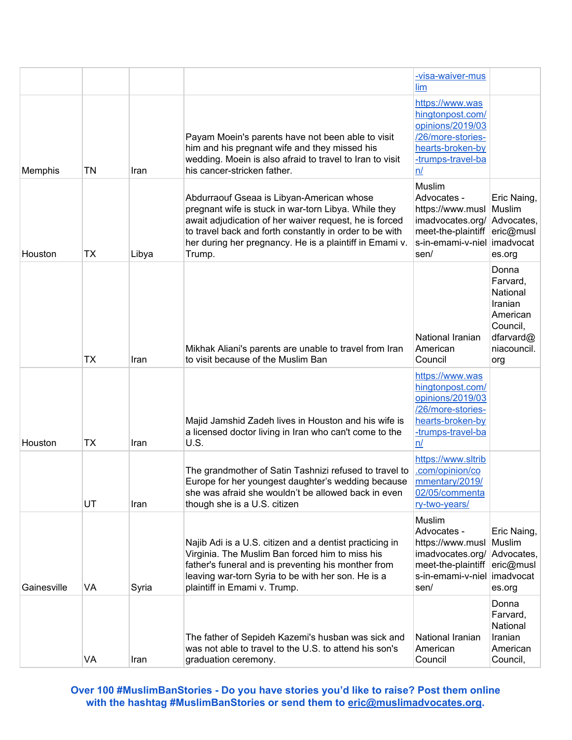|             |    |       |                                                                                                                                                                                                                                                                                             | -visa-waiver-mus<br>lim                                                                                                     |                                                                                                     |
|-------------|----|-------|---------------------------------------------------------------------------------------------------------------------------------------------------------------------------------------------------------------------------------------------------------------------------------------------|-----------------------------------------------------------------------------------------------------------------------------|-----------------------------------------------------------------------------------------------------|
| Memphis     | TN | Iran  | Payam Moein's parents have not been able to visit<br>him and his pregnant wife and they missed his<br>wedding. Moein is also afraid to travel to Iran to visit<br>his cancer-stricken father.                                                                                               | https://www.was<br>hingtonpost.com/<br>opinions/2019/03<br>/26/more-stories-<br>hearts-broken-by<br>-trumps-travel-ba<br>n/ |                                                                                                     |
| Houston     | TХ | Libya | Abdurraouf Gseaa is Libyan-American whose<br>pregnant wife is stuck in war-torn Libya. While they<br>await adjudication of her waiver request, he is forced<br>to travel back and forth constantly in order to be with<br>her during her pregnancy. He is a plaintiff in Emami v.<br>Trump. | Muslim<br>Advocates -<br>https://www.musl<br>imadvocates.org/<br>meet-the-plaintiff<br>s-in-emami-v-niel<br>sen/            | Eric Naing,<br>Muslim<br>Advocates,<br>eric@musl<br>imadvocat<br>es.org                             |
|             | TX | Iran  | Mikhak Aliani's parents are unable to travel from Iran<br>to visit because of the Muslim Ban                                                                                                                                                                                                | National Iranian<br>American<br>Council                                                                                     | Donna<br>Farvard,<br>National<br>Iranian<br>American<br>Council,<br>dfarvard@<br>niacouncil.<br>org |
| Houston     | TX | Iran  | Majid Jamshid Zadeh lives in Houston and his wife is<br>a licensed doctor living in Iran who can't come to the<br>U.S.                                                                                                                                                                      | https://www.was<br>hingtonpost.com/<br>opinions/2019/03<br>/26/more-stories-<br>hearts-broken-by<br>-trumps-travel-ba<br>n/ |                                                                                                     |
|             | UT | Iran  | The grandmother of Satin Tashnizi refused to travel to<br>Europe for her youngest daughter's wedding because<br>she was afraid she wouldn't be allowed back in even<br>though she is a U.S. citizen                                                                                         | https://www.sltrib<br>.com/opinion/co<br>mmentary/2019/<br>02/05/commenta<br>ry-two-years/                                  |                                                                                                     |
| Gainesville | VA | Syria | Najib Adi is a U.S. citizen and a dentist practicing in<br>Virginia. The Muslim Ban forced him to miss his<br>father's funeral and is preventing his monther from<br>leaving war-torn Syria to be with her son. He is a<br>plaintiff in Emami v. Trump.                                     | Muslim<br>Advocates -<br>https://www.musl<br>imadvocates.org/<br>meet-the-plaintiff<br>s-in-emami-v-niel<br>sen/            | Eric Naing,<br>Muslim<br>Advocates,<br>eric@musl<br>imadvocat<br>es.org                             |
|             | VA | Iran  | The father of Sepideh Kazemi's husban was sick and<br>was not able to travel to the U.S. to attend his son's<br>graduation ceremony.                                                                                                                                                        | National Iranian<br>American<br>Council                                                                                     | Donna<br>Farvard,<br>National<br>Iranian<br>American<br>Council,                                    |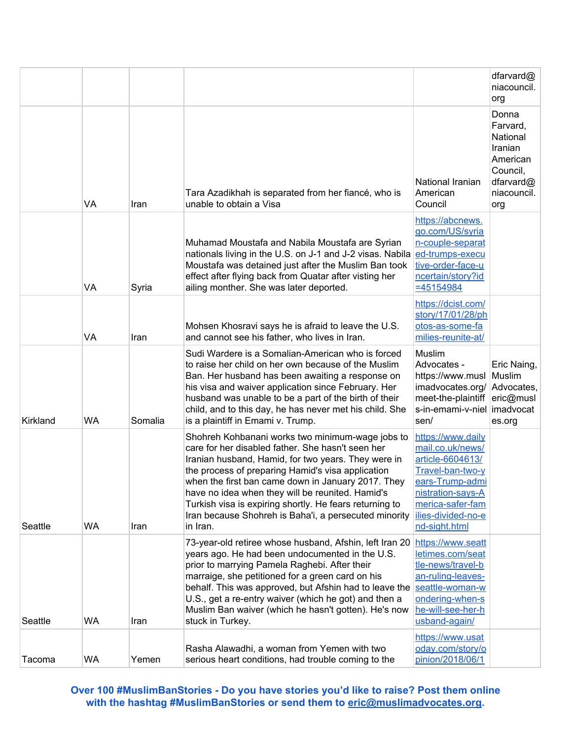|          |    |         |                                                                                                                                                                                                                                                                                                                                                                                                                                                             |                                                                                                                                                                                  | dfarvard@<br>niacouncil.<br>org                                                                     |
|----------|----|---------|-------------------------------------------------------------------------------------------------------------------------------------------------------------------------------------------------------------------------------------------------------------------------------------------------------------------------------------------------------------------------------------------------------------------------------------------------------------|----------------------------------------------------------------------------------------------------------------------------------------------------------------------------------|-----------------------------------------------------------------------------------------------------|
|          | VA | Iran    | Tara Azadikhah is separated from her fiancé, who is<br>unable to obtain a Visa                                                                                                                                                                                                                                                                                                                                                                              | National Iranian<br>American<br>Council                                                                                                                                          | Donna<br>Farvard,<br>National<br>Iranian<br>American<br>Council,<br>dfarvard@<br>niacouncil.<br>org |
|          | VA | Syria   | Muhamad Moustafa and Nabila Moustafa are Syrian<br>nationals living in the U.S. on J-1 and J-2 visas. Nabila<br>Moustafa was detained just after the Muslim Ban took<br>effect after flying back from Quatar after visting her<br>ailing monther. She was later deported.                                                                                                                                                                                   | https://abcnews.<br>go.com/US/syria<br>n-couple-separat<br>ed-trumps-execu<br>tive-order-face-u<br>ncertain/story?id<br>$= 45154984$                                             |                                                                                                     |
|          | VA | Iran    | Mohsen Khosravi says he is afraid to leave the U.S.<br>and cannot see his father, who lives in Iran.                                                                                                                                                                                                                                                                                                                                                        | https://dcist.com/<br>story/17/01/28/ph<br>otos-as-some-fa<br>milies-reunite-at/                                                                                                 |                                                                                                     |
| Kirkland | WA | Somalia | Sudi Wardere is a Somalian-American who is forced<br>to raise her child on her own because of the Muslim<br>Ban. Her husband has been awaiting a response on<br>his visa and waiver application since February. Her<br>husband was unable to be a part of the birth of their<br>child, and to this day, he has never met his child. She<br>is a plaintiff in Emami v. Trump.                                                                                | Muslim<br>Advocates -<br>https://www.musl<br>imadvocates.org/<br>meet-the-plaintiff<br>s-in-emami-v-niel<br>sen/                                                                 | Eric Naing,<br>Muslim<br>Advocates,<br>eric@musl<br>imadvocat<br>es.org                             |
| Seattle  | WA | Iran    | Shohreh Kohbanani works two minimum-wage jobs to<br>care for her disabled father. She hasn't seen her<br>Iranian husband, Hamid, for two years. They were in<br>the process of preparing Hamid's visa application<br>when the first ban came down in January 2017. They<br>have no idea when they will be reunited. Hamid's<br>Turkish visa is expiring shortly. He fears returning to<br>Iran because Shohreh is Baha'i, a persecuted minority<br>in Iran. | https://www.daily<br>mail.co.uk/news/<br>article-6604613/<br>Travel-ban-two-y<br>ears-Trump-admi<br>nistration-says-A<br>merica-safer-fam<br>ilies-divided-no-e<br>nd-sight.html |                                                                                                     |
| Seattle  | WA | Iran    | 73-year-old retiree whose husband, Afshin, left Iran 20<br>years ago. He had been undocumented in the U.S.<br>prior to marrying Pamela Raghebi. After their<br>marraige, she petitioned for a green card on his<br>behalf. This was approved, but Afshin had to leave the<br>U.S., get a re-entry waiver (which he got) and then a<br>Muslim Ban waiver (which he hasn't gotten). He's now<br>stuck in Turkey.                                              | https://www.seatt<br>letimes.com/seat<br>tle-news/travel-b<br>an-ruling-leaves-<br>seattle-woman-w<br>ondering-when-s<br>he-will-see-her-h<br>usband-again/                      |                                                                                                     |
| Tacoma   | WA | Yemen   | Rasha Alawadhi, a woman from Yemen with two<br>serious heart conditions, had trouble coming to the                                                                                                                                                                                                                                                                                                                                                          | https://www.usat<br>oday.com/story/o<br>pinion/2018/06/1                                                                                                                         |                                                                                                     |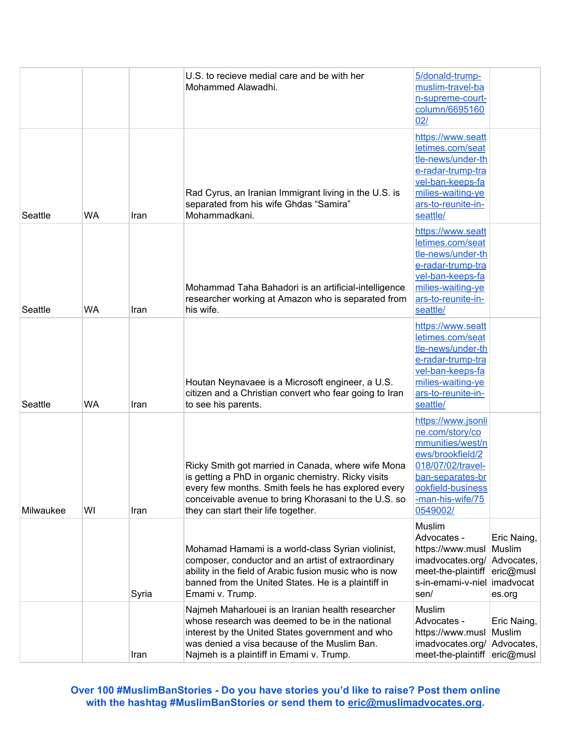|           |           |       | U.S. to recieve medial care and be with her<br>Mohammed Alawadhi.                                                                                                                                                                                               | 5/donald-trump-<br>muslim-travel-ba<br>n-supreme-court-<br>column/6695160<br>02/                                                                                            |                                                                         |
|-----------|-----------|-------|-----------------------------------------------------------------------------------------------------------------------------------------------------------------------------------------------------------------------------------------------------------------|-----------------------------------------------------------------------------------------------------------------------------------------------------------------------------|-------------------------------------------------------------------------|
| Seattle   | <b>WA</b> | Iran  | Rad Cyrus, an Iranian Immigrant living in the U.S. is<br>separated from his wife Ghdas "Samira"<br>Mohammadkani.                                                                                                                                                | https://www.seatt<br>letimes.com/seat<br>tle-news/under-th<br>e-radar-trump-tra<br>vel-ban-keeps-fa<br>milies-waiting-ye<br>ars-to-reunite-in-<br>seattle/                  |                                                                         |
| Seattle   | <b>WA</b> | Iran  | Mohammad Taha Bahadori is an artificial-intelligence<br>researcher working at Amazon who is separated from<br>his wife.                                                                                                                                         | https://www.seatt<br>letimes.com/seat<br>tle-news/under-th<br>e-radar-trump-tra<br>vel-ban-keeps-fa<br>milies-waiting-ye<br>ars-to-reunite-in-<br>seattle/                  |                                                                         |
| Seattle   | WA        | Iran  | Houtan Neynavaee is a Microsoft engineer, a U.S.<br>citizen and a Christian convert who fear going to Iran<br>to see his parents.                                                                                                                               | https://www.seatt<br>letimes.com/seat<br>tle-news/under-th<br>e-radar-trump-tra<br>vel-ban-keeps-fa<br>milies-waiting-ye<br>ars-to-reunite-in-<br>seattle/                  |                                                                         |
| Milwaukee | WI        | Iran  | Ricky Smith got married in Canada, where wife Mona<br>is getting a PhD in organic chemistry. Ricky visits<br>every few months. Smith feels he has explored every<br>conceivable avenue to bring Khorasani to the U.S. so<br>they can start their life together. | https://www.jsonli<br>ne.com/story/co<br>mmunities/west/n<br>ews/brookfield/2<br>018/07/02/travel-<br>ban-separates-br<br>ookfield-business<br>-man-his-wife/75<br>0549002/ |                                                                         |
|           |           | Syria | Mohamad Hamami is a world-class Syrian violinist,<br>composer, conductor and an artist of extraordinary<br>ability in the field of Arabic fusion music who is now<br>banned from the United States. He is a plaintiff in<br>Emami v. Trump.                     | Muslim<br>Advocates -<br>https://www.musl<br>imadvocates.org/<br>meet-the-plaintiff<br>s-in-emami-v-niel<br>sen/                                                            | Eric Naing,<br>Muslim<br>Advocates,<br>eric@musl<br>imadvocat<br>es.org |
|           |           | Iran  | Najmeh Maharlouei is an Iranian health researcher<br>whose research was deemed to be in the national<br>interest by the United States government and who<br>was denied a visa because of the Muslim Ban.<br>Najmeh is a plaintiff in Emami v. Trump.            | Muslim<br>Advocates -<br>https://www.musl<br>imadvocates.org/<br>meet-the-plaintiff                                                                                         | Eric Naing,<br>Muslim<br>Advocates,<br>eric@musl                        |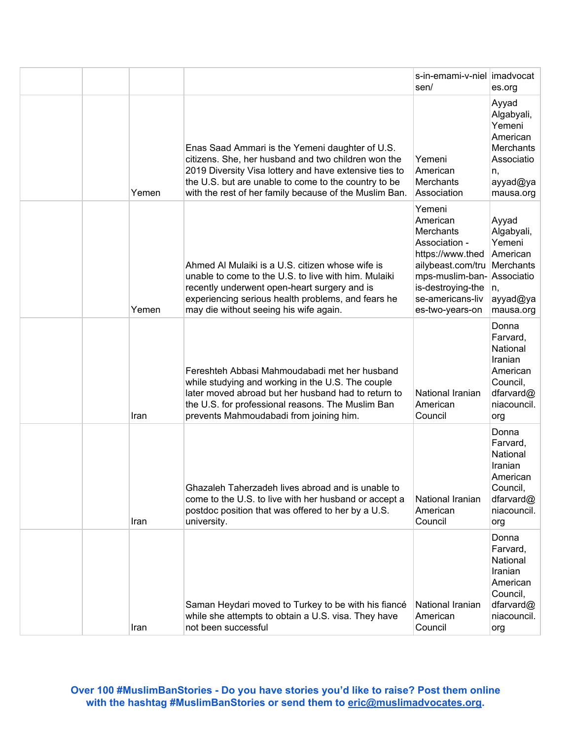|  |       |                                                                                                                                                                                                                                                                                    | s-in-emami-v-niel   imadvocat<br>sen/                                                                                                                                           | es.org                                                                                              |
|--|-------|------------------------------------------------------------------------------------------------------------------------------------------------------------------------------------------------------------------------------------------------------------------------------------|---------------------------------------------------------------------------------------------------------------------------------------------------------------------------------|-----------------------------------------------------------------------------------------------------|
|  | Yemen | Enas Saad Ammari is the Yemeni daughter of U.S.<br>citizens. She, her husband and two children won the<br>2019 Diversity Visa lottery and have extensive ties to<br>the U.S. but are unable to come to the country to be<br>with the rest of her family because of the Muslim Ban. | Yemeni<br>American<br><b>Merchants</b><br>Association                                                                                                                           | Ayyad<br>Algabyali,<br>Yemeni<br>American<br>Merchants<br>Associatio<br>n,<br>ayyad@ya<br>mausa.org |
|  | Yemen | Ahmed Al Mulaiki is a U.S. citizen whose wife is<br>unable to come to the U.S. to live with him. Mulaiki<br>recently underwent open-heart surgery and is<br>experiencing serious health problems, and fears he<br>may die without seeing his wife again.                           | Yemeni<br>American<br><b>Merchants</b><br>Association -<br>https://www.thed<br>ailybeast.com/tru<br>mps-muslim-ban-<br>is-destroying-the<br>se-americans-liv<br>es-two-years-on | Ayyad<br>Algabyali,<br>Yemeni<br>American<br>Merchants<br>Associatio<br>n.<br>ayyad@ya<br>mausa.org |
|  | Iran  | Fereshteh Abbasi Mahmoudabadi met her husband<br>while studying and working in the U.S. The couple<br>later moved abroad but her husband had to return to<br>the U.S. for professional reasons. The Muslim Ban<br>prevents Mahmoudabadi from joining him.                          | National Iranian<br>American<br>Council                                                                                                                                         | Donna<br>Farvard,<br>National<br>Iranian<br>American<br>Council,<br>dfarvard@<br>niacouncil.<br>org |
|  | Iran  | Ghazaleh Taherzadeh lives abroad and is unable to<br>come to the U.S. to live with her husband or accept a<br>postdoc position that was offered to her by a U.S.<br>university.                                                                                                    | National Iranian<br>American<br>Council                                                                                                                                         | Donna<br>Farvard,<br>National<br>Iranian<br>American<br>Council,<br>dfarvard@<br>niacouncil.<br>org |
|  | Iran  | Saman Heydari moved to Turkey to be with his fiancé<br>while she attempts to obtain a U.S. visa. They have<br>not been successful                                                                                                                                                  | National Iranian<br>American<br>Council                                                                                                                                         | Donna<br>Farvard,<br>National<br>Iranian<br>American<br>Council,<br>dfarvard@<br>niacouncil.<br>org |